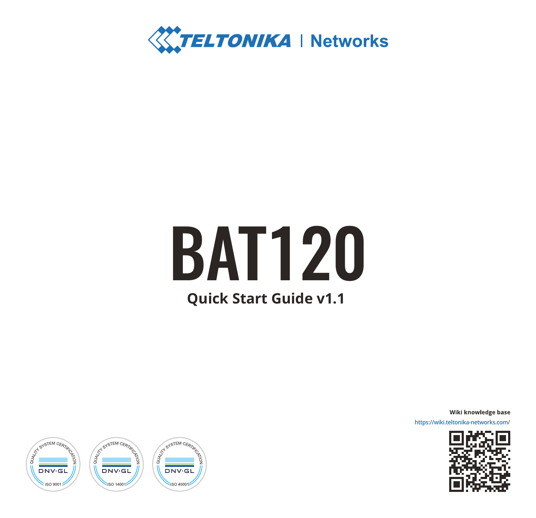

# **Quick Start Guide v1.1** BAT120

Wiki knowledge base https://wiki.teltonika-network



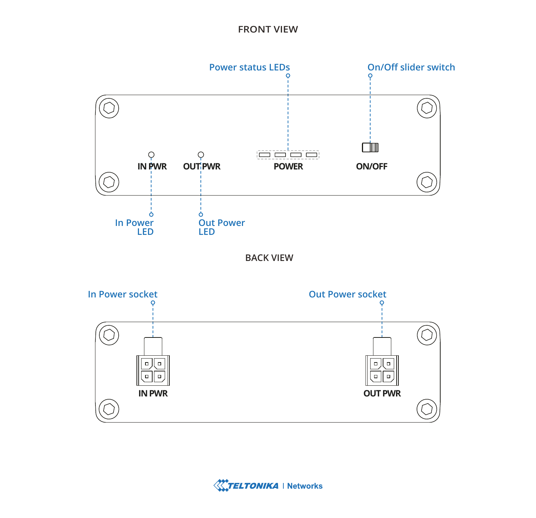# **FRONT VIEW**



**BACK VIEW**



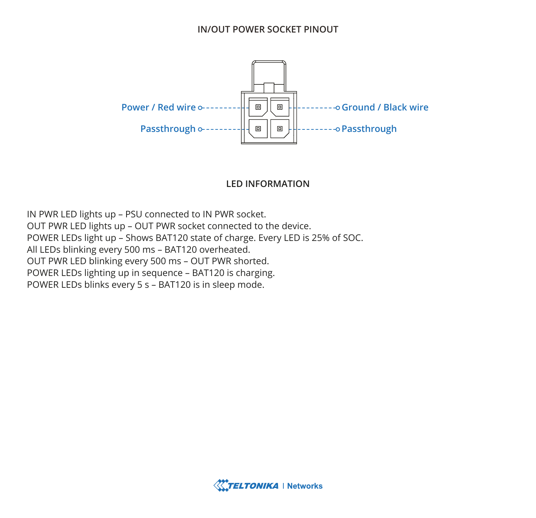#### **IN/OUT POWER SOCKET PINOUT**



#### **LED INFORMATION**

IN PWR LED lights up – PSU connected to IN PWR socket. OUT PWR LED lights up – OUT PWR socket connected to the device. POWER LEDs light up – Shows BAT120 state of charge. Every LED is 25% of SOC. All LEDs blinking every 500 ms – BAT120 overheated. OUT PWR LED blinking every 500 ms – OUT PWR shorted. POWER LEDs lighting up in sequence – BAT120 is charging. POWER LEDs blinks every 5 s – BAT120 is in sleep mode.

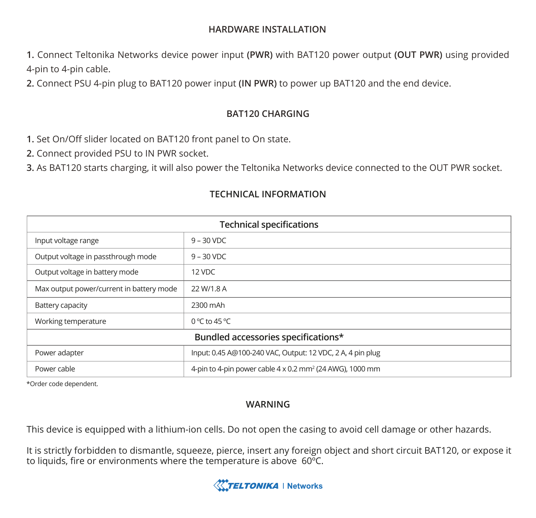#### **HARDWARE INSTALLATION**

**1.** Connect Teltonika Networks device power input **(PWR)** with BAT120 power output **(OUT PWR)** using provided 4-pin to 4-pin cable.

**2.** Connect PSU 4-pin plug to BAT120 power input **(IN PWR)** to power up BAT120 and the end device.

## **BAT120 CHARGING**

**1.** Set On/Off slider located on BAT120 front panel to On state.

**2.** Connect provided PSU to IN PWR socket.

**3.** As BAT120 starts charging, it will also power the Teltonika Networks device connected to the OUT PWR socket.

| <b>Technical specifications</b>          |                                                                      |
|------------------------------------------|----------------------------------------------------------------------|
| Input voltage range                      | $9 - 30$ VDC                                                         |
| Output voltage in passthrough mode       | $9 - 30$ VDC                                                         |
| Output voltage in battery mode           | 12 VDC                                                               |
| Max output power/current in battery mode | 22 W/1.8 A                                                           |
| Battery capacity                         | 2300 mAh                                                             |
| Working temperature                      | $0^{\circ}$ C to 45 °C                                               |
| Bundled accessories specifications*      |                                                                      |
| Power adapter                            | Input: 0.45 A@100-240 VAC, Output: 12 VDC, 2 A, 4 pin plug           |
| Power cable                              | 4-pin to 4-pin power cable 4 x 0.2 mm <sup>2</sup> (24 AWG), 1000 mm |

# **TECHNICAL INFORMATION**

\*Order code dependent.

## **WARNING**

This device is equipped with a lithium-ion cells. Do not open the casing to avoid cell damage or other hazards.

It is strictly forbidden to dismantle, squeeze, pierce, insert any foreign object and short circuit BAT120, or expose it to liquids, fire or environments where the temperature is above 60ºC.

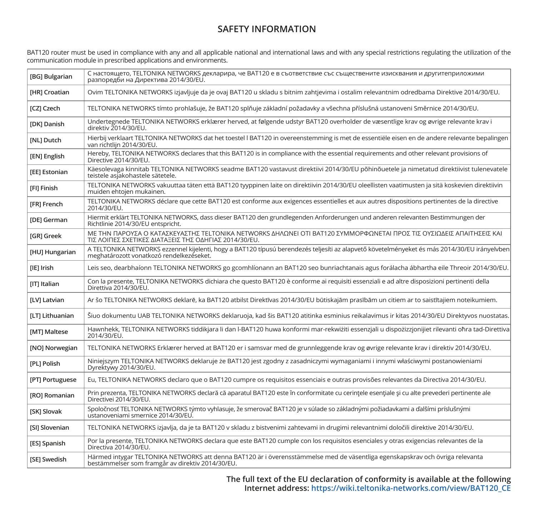## **SAFETY INFORMATION**

BAT120 router must be used in compliance with any and all applicable national and international laws and with any special restrictions regulating the utilization of the communication module in prescribed applications and environments.

| [BG] Bulgarian       | С настоящето, TELTONIKA NETWORKS декларира, че BAT120 е в съответствие със съществените изисквания и другитеприложими<br>разпоредби на Директива 2014/30/EU.                             |
|----------------------|------------------------------------------------------------------------------------------------------------------------------------------------------------------------------------------|
| [HR] Croatian        | Ovim TELTONIKA NETWORKS izjavljuje da je ovaj BAT120 u skladu s bitnim zahtjevima i ostalim relevantnim odredbama Direktive 2014/30/EU.                                                  |
| [CZ] Czech           | TELTONIKA NETWORKS tímto prohlašuje, že BAT120 splňuje základní požadavky a všechna příslušná ustanoveni Směrnice 2014/30/EU.                                                            |
| [DK] Danish          | Undertegnede TELTONIKA NETWORKS erklærer herved, at følgende udstyr BAT120 overholder de væsentlige krav og øvrige relevante krav i<br>direktiv 2014/30/EU.                              |
| [NL] Dutch           | Hierbij verklaart TELTONIKA NETWORKS dat het toestel I BAT120 in overeenstemming is met de essentiële eisen en de andere relevante bepalingen<br>van richtliin 2014/30/EU.               |
| [EN] English         | Hereby, TELTONIKA NETWORKS declares that this BAT120 is in compliance with the essential requirements and other relevant provisions of<br>Directive 2014/30/EU.                          |
| <b>FEEI Estonian</b> | Käesolevaga kinnitab TELTONIKA NETWORKS seadme BAT120 vastavust direktiivi 2014/30/EU põhinõuetele ja nimetatud direktiivist tulenevatele<br>teistele asiakohastele sätetele.            |
| [FI] Finish          | TELTONIKA NETWORKS vakuuttaa täten että BAT120 tyyppinen laite on direktiivin 2014/30/EU oleellisten vaatimusten ja sitä koskevien direktiivin<br>muiden ehtojen mukainen.               |
| <b>IFRI French</b>   | TELTONIKA NETWORKS déclare que cette BAT120 est conforme aux exigences essentielles et aux autres dispositions pertinentes de la directive<br>2014/30/EU.                                |
| <b>IDEI German</b>   | Hiermit erklärt TELTONIKA NETWORKS, dass dieser BAT120 den grundlegenden Anforderungen und anderen relevanten Bestimmungen der<br>Richtlinie 2014/30/EU entspricht.                      |
| [GR] Greek           | ΜΕ ΤΗΝ ΠΑΡΟΥΣΑ Ο ΚΑΤΑΣΚΕΥΑΣΤΗΣ ΤΕLΤΟΝΙΚΑ ΝΕΤWORKS ΔΗΛΩΝΕΙ ΟΤΙ ΒΑΤ120 ΣΥΜΜΟΡΦΩΝΕΤΑΙ ΠΡΟΣ ΤΙΣ ΟΥΣΙΩΔΕΙΣ ΑΠΑΙΤΗΣΕΙΣ ΚΑΙ<br>ΤΙΣ ΛΟΙΠΕΣ ΣΧΕΤΙΚΕΣ ΔΙΑΤΑΞΕΙΣ ΤΗΣ ΟΔΗΓΙΑΣ 2014/30/ΕU.            |
| [HU] Hungarian       | A TELTONIKA NETWORKS ezzennel kijelenti, hogy a BAT120 típusú berendezés teljesíti az alapvető követelményeket és más 2014/30/EU irányelvben<br>meghatározott vonatkozó rendelkezéseket. |
| [IE] Irish           | Leis seo, dearbhaíonn TELTONIKA NETWORKS go gcomhlíonann an BAT120 seo bunriachtanais agus forálacha ábhartha eile Threoir 2014/30/EU.                                                   |
| [IT] Italian         | Con la presente, TELTONIKA NETWORKS dichiara che questo BAT120 è conforme ai requisiti essenziali e ad altre disposizioni pertinenti della<br>Direttiva 2014/30/EU.                      |
| [LV] Latvian         | Ar šo TELTONIKA NETWORKS deklarē, ka BAT120 atbilst Direktīvas 2014/30/EU būtiskajām prasībām un citiem ar to saistītajiem noteikumiem.                                                  |
| [LT] Lithuanian      | Šiuo dokumentu UAB TELTONIKA NETWORKS deklaruoja, kad šis BAT120 atitinka esminius reikalavimus ir kitas 2014/30/EU Direktyvos nuostatas.                                                |
| [MT] Maltese         | Hawnhekk, TELTONIKA NETWORKS tiddikjara li dan l-BAT120 huwa konformi mar-rekwiżiti essenzjali u dispożizzjonijiet rilevanti ohra tad-Direttiva<br>2014/30/EU.                           |
| [NO] Norwegian       | TELTONIKA NETWORKS Erklærer herved at BAT120 er i samsvar med de grunnleggende krav og øvrige relevante krav i direktiv 2014/30/EU.                                                      |
| [PL] Polish          | Niniejszym TELTONIKA NETWORKS deklaruje że BAT120 jest zgodny z zasadniczymi wymaganiami i innymi właściwymi postanowieniami<br>Dyrektywy 2014/30/EU.                                    |
| [PT] Portuguese      | Eu, TELTONIKA NETWORKS declaro que o BAT120 cumpre os requisitos essenciais e outras provisões relevantes da Directiva 2014/30/EU.                                                       |
| [RO] Romanian        | Prin prezenta, TELTONIKA NETWORKS declară că aparatul BAT120 este în conformitate cu cerințele esențiale și cu alte prevederi pertinente ale<br>Directivei 2014/30/EU.                   |
| [SK] Slovak          | Spoločnosť TELTONIKA NETWORKS týmto vyhlasuje, že smerovač BAT120 je v súlade so základnými požiadavkami a ďalšími príslušnými<br>ustanoveniami smernice 2014/30/EU.                     |
| [SI] Slovenian       | TELTONIKA NETWORKS izjavlja, da je ta BAT120 v skladu z bistvenimi zahtevami in drugimi relevantnimi določili direktive 2014/30/EU.                                                      |
| [ES] Spanish         | Por la presente, TELTONIKA NETWORKS declara que este BAT120 cumple con los requisitos esenciales y otras exigencias relevantes de la<br>Directiva 2014/30/EU.                            |
| [SE] Swedish         | Härmed intygar TELTONIKA NETWORKS att denna BAT120 är i överensstämmelse med de väsentliga egenskapskrav och övriga relevanta<br>bestämmelser som framgår av direktiv 2014/30/EU.        |

**The full text of the EU declaration of conformity is available at the following Internet address: https://wiki.teltonika-networks.com/view/BAT120\_CE**